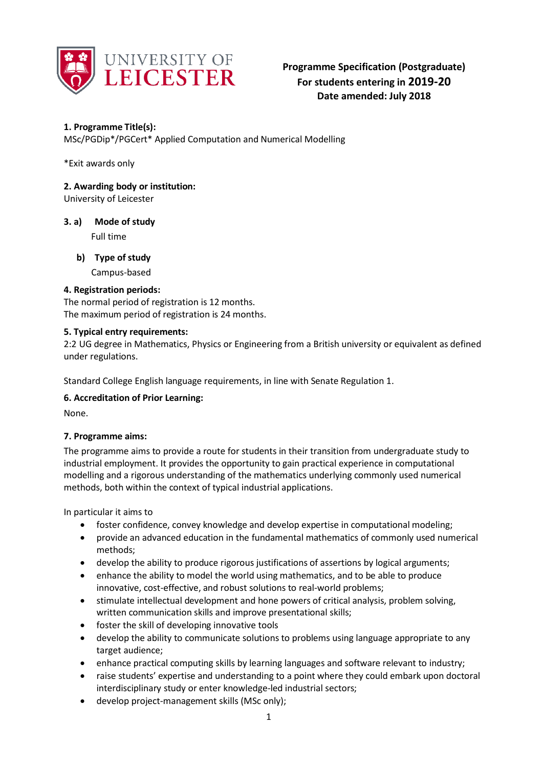

# **1. Programme Title(s):**

MSc/PGDip\*/PGCert\* Applied Computation and Numerical Modelling

\*Exit awards only

# **2. Awarding body or institution:**

University of Leicester

# **3. a) Mode of study**

Full time

# **b) Type of study**

Campus-based

# **4. Registration periods:**

The normal period of registration is 12 months. The maximum period of registration is 24 months.

# **5. Typical entry requirements:**

2:2 UG degree in Mathematics, Physics or Engineering from a British university or equivalent as defined under regulations.

Standard College English language requirements, in line with Senate Regulation 1.

# **6. Accreditation of Prior Learning:**

None.

# **7. Programme aims:**

The programme aims to provide a route for students in their transition from undergraduate study to industrial employment. It provides the opportunity to gain practical experience in computational modelling and a rigorous understanding of the mathematics underlying commonly used numerical methods, both within the context of typical industrial applications.

In particular it aims to

- foster confidence, convey knowledge and develop expertise in computational modeling;
- provide an advanced education in the fundamental mathematics of commonly used numerical methods;
- develop the ability to produce rigorous justifications of assertions by logical arguments;
- enhance the ability to model the world using mathematics, and to be able to produce innovative, cost-effective, and robust solutions to real-world problems;
- stimulate intellectual development and hone powers of critical analysis, problem solving, written communication skills and improve presentational skills;
- foster the skill of developing innovative tools
- develop the ability to communicate solutions to problems using language appropriate to any target audience;
- enhance practical computing skills by learning languages and software relevant to industry;
- raise students' expertise and understanding to a point where they could embark upon doctoral interdisciplinary study or enter knowledge-led industrial sectors;
- develop project-management skills (MSc only);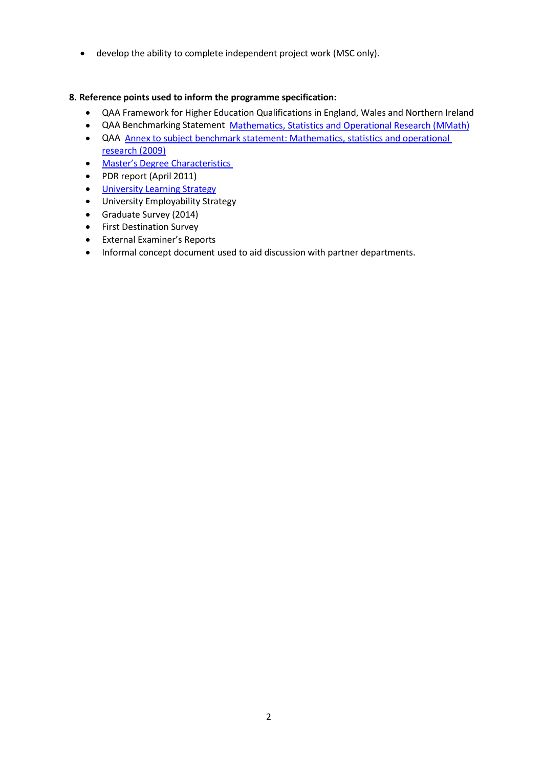develop the ability to complete independent project work (MSC only).

# **8. Reference points used to inform the programme specification:**

- QAA Framework for Higher Education Qualifications in England, Wales and Northern Ireland
- QAA Benchmarking Statement Mathematics, [Statistics and Operational](http://www.qaa.ac.uk/en/Publications/Documents/Subject-benchmark-statement-Mathematics-statistics-and-operational-research.pdf) Research (MMath)
- QAA Annex to subject benchmark statement: Mathematics, statistics [and operational](http://www.qaa.ac.uk/en/Publications/Documents/Annex-to-Subject-benchmark-statement-Mathematics-statistics-and-operational-research.pdf)  [research](http://www.qaa.ac.uk/en/Publications/Documents/Annex-to-Subject-benchmark-statement-Mathematics-statistics-and-operational-research.pdf) [\(2009\)](http://www.qaa.ac.uk/en/Publications/Documents/Annex-to-Subject-benchmark-statement-Mathematics-statistics-and-operational-research.pdf)
- Master's Degree [Characteristics](http://www.qaa.ac.uk/en/Publications/Documents/Masters-Degree-Characteristics-2010.pdf)
- PDR report (April 2011)
- **University [Learning Strategy](http://www2.le.ac.uk/offices/sas2/quality/learnteach)**
- University Employability Strategy
- Graduate Survey (2014)
- **•** First Destination Survey
- External Examiner's Reports
- Informal concept document used to aid discussion with partner departments.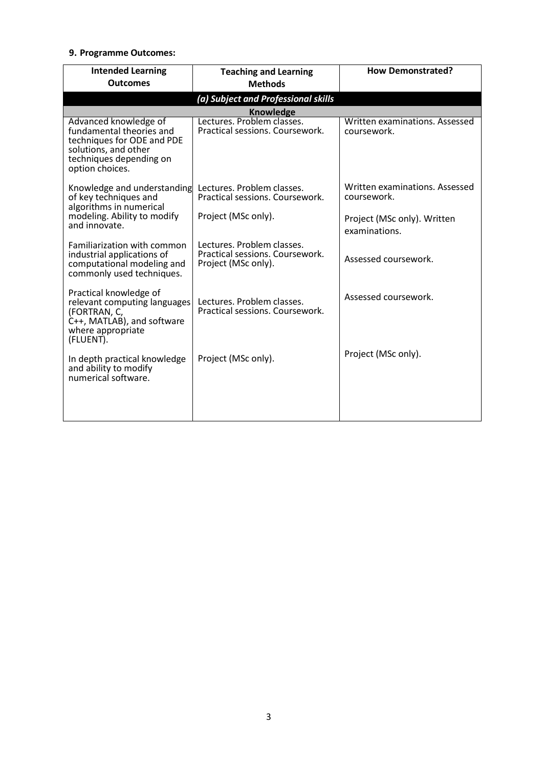## **9. Programme Outcomes:**

| <b>Intended Learning</b><br><b>Outcomes</b>                                                                                                           | <b>Teaching and Learning</b><br><b>Methods</b>                                       | <b>How Demonstrated?</b>                      |
|-------------------------------------------------------------------------------------------------------------------------------------------------------|--------------------------------------------------------------------------------------|-----------------------------------------------|
|                                                                                                                                                       | (a) Subject and Professional skills                                                  |                                               |
|                                                                                                                                                       | <b>Knowledge</b>                                                                     |                                               |
| Advanced knowledge of<br>fundamental theories and<br>techniques for ODE and PDE<br>solutions, and other<br>techniques depending on<br>option choices. | Lectures. Problem classes.<br>Practical sessions. Coursework.                        | Written examinations. Assessed<br>coursework. |
| Knowledge and understanding<br>of key techniques and<br>algorithms in numerical<br>modeling. Ability to modify<br>and innovate.                       | Lectures. Problem classes.<br>Practical sessions. Coursework.                        | Written examinations. Assessed<br>coursework. |
|                                                                                                                                                       | Project (MSc only).                                                                  | Project (MSc only). Written<br>examinations.  |
| Familiarization with common<br>industrial applications of<br>computational modeling and<br>commonly used techniques.                                  | Lectures. Problem classes.<br>Practical sessions. Coursework.<br>Project (MSc only). | Assessed coursework.                          |
| Practical knowledge of<br>relevant computing languages<br>(FORTRAN, C,<br>C++, MATLAB), and software<br>where appropriate<br>(FLUENT).                | Lectures. Problem classes.<br>Practical sessions. Coursework.                        | Assessed coursework.                          |
| In depth practical knowledge<br>and ability to modify<br>numerical software.                                                                          | Project (MSc only).                                                                  | Project (MSc only).                           |
|                                                                                                                                                       |                                                                                      |                                               |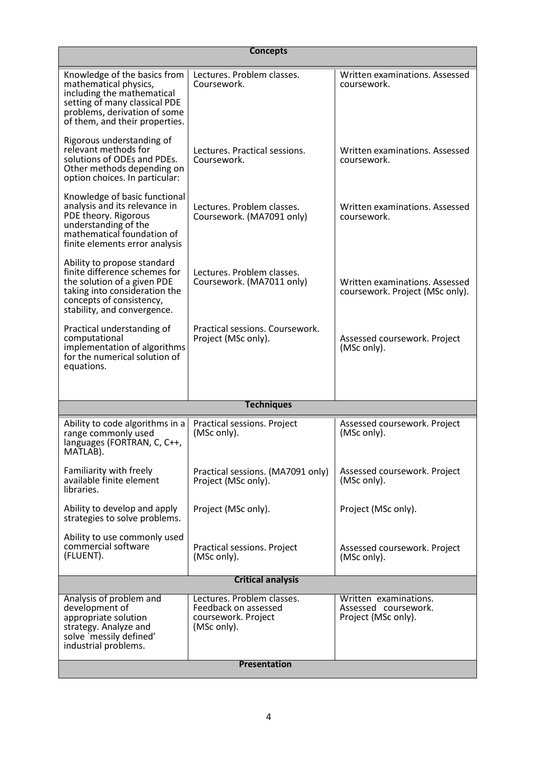| <b>Concepts</b>                                                                                                                                                                         |                                                                                          |                                                                      |  |
|-----------------------------------------------------------------------------------------------------------------------------------------------------------------------------------------|------------------------------------------------------------------------------------------|----------------------------------------------------------------------|--|
| Knowledge of the basics from<br>mathematical physics,<br>including the mathematical<br>setting of many classical PDE<br>problems, derivation of some<br>of them, and their properties.  | Lectures. Problem classes.<br>Coursework.                                                | Written examinations. Assessed<br>coursework.                        |  |
| Rigorous understanding of<br>relevant methods for<br>solutions of ODEs and PDEs.<br>Other methods depending on<br>option choices. In particular:                                        | Lectures. Practical sessions.<br>Coursework.                                             | Written examinations. Assessed<br>coursework.                        |  |
| Knowledge of basic functional<br>analysis and its relevance in<br>PDE theory. Rigorous<br>understanding of the<br>mathematical foundation of<br>finite elements error analysis          | Lectures. Problem classes.<br>Coursework. (MA7091 only)                                  | Written examinations. Assessed<br>coursework.                        |  |
| Ability to propose standard<br>finite difference schemes for<br>the solution of a given PDE<br>taking into consideration the<br>concepts of consistency,<br>stability, and convergence. | Lectures. Problem classes.<br>Coursework. (MA7011 only)                                  | Written examinations. Assessed<br>coursework. Project (MSc only).    |  |
| Practical understanding of<br>computational<br>implementation of algorithms<br>for the numerical solution of<br>equations.                                                              | Practical sessions. Coursework.<br>Project (MSc only).                                   | Assessed coursework. Project<br>(MSc only).                          |  |
|                                                                                                                                                                                         |                                                                                          |                                                                      |  |
|                                                                                                                                                                                         | <b>Techniques</b>                                                                        |                                                                      |  |
| Ability to code algorithms in a<br>range commonly used<br>languages (FORTRAN, C, C++,<br>MAILAB).                                                                                       | Practical sessions. Project<br>(MSc only).                                               | Assessed coursework. Project<br>(MSc only).                          |  |
| Familiarity with freely<br>available finite element<br>libraries.                                                                                                                       | Practical sessions. (MA7091 only)<br>Project (MSc only).                                 | Assessed coursework. Project<br>(MSc only).                          |  |
| Ability to develop and apply<br>strategies to solve problems.                                                                                                                           | Project (MSc only).                                                                      | Project (MSc only).                                                  |  |
| Ability to use commonly used<br>commercial software<br>(FLUENT).                                                                                                                        | Practical sessions. Project<br>(MSc only).                                               | Assessed coursework. Project<br>(MSc only).                          |  |
| <b>Critical analysis</b>                                                                                                                                                                |                                                                                          |                                                                      |  |
| Analysis of problem and<br>development of<br>appropriate solution<br>strategy. Analyze and<br>solve `messily defined'<br>industrial problems.                                           | Lectures. Problem classes.<br>Feedback on assessed<br>coursework. Project<br>(MSc only). | Written examinations.<br>Assessed coursework.<br>Project (MSc only). |  |
| Presentation                                                                                                                                                                            |                                                                                          |                                                                      |  |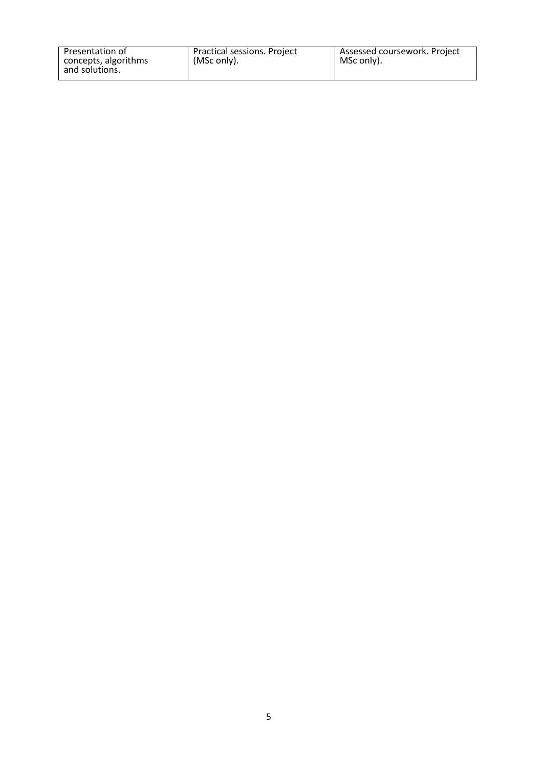| Presentation of      | Practical sessions. Project | Assessed coursework. Project |
|----------------------|-----------------------------|------------------------------|
| concepts, algorithms | (MSc only).                 | MSc only).                   |
| and solutions.       |                             |                              |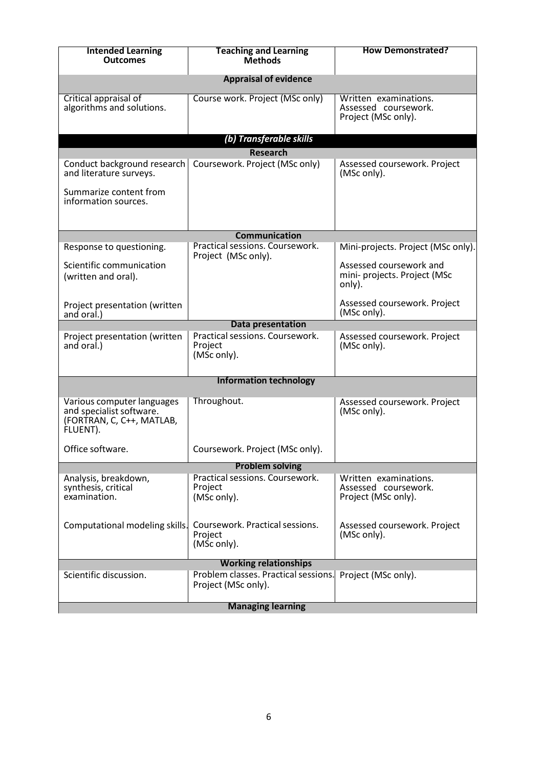| <b>Intended Learning</b><br><b>Outcomes</b>                       | <b>Teaching and Learning</b><br><b>Methods</b>              | <b>How Demonstrated?</b>                                             |  |
|-------------------------------------------------------------------|-------------------------------------------------------------|----------------------------------------------------------------------|--|
|                                                                   | <b>Appraisal of evidence</b>                                |                                                                      |  |
| Critical appraisal of<br>algorithms and solutions.                | Course work. Project (MSc only)                             | Written examinations.<br>Assessed coursework.<br>Project (MSc only). |  |
|                                                                   | (b) Transferable skills                                     |                                                                      |  |
|                                                                   | <b>Research</b>                                             |                                                                      |  |
| Conduct background research<br>and literature surveys.            | Coursework. Project (MSc only)                              | Assessed coursework. Project<br>(MSc only).                          |  |
| Summarize content from<br>information sources.                    |                                                             |                                                                      |  |
|                                                                   |                                                             |                                                                      |  |
|                                                                   | <b>Communication</b><br>Practical sessions. Coursework.     |                                                                      |  |
| Response to questioning.                                          | Project (MSc only).                                         | Mini-projects. Project (MSc only).                                   |  |
| Scientific communication<br>(written and oral).                   |                                                             | Assessed coursework and<br>mini- projects. Project (MSc<br>only).    |  |
| Project presentation (written<br>and oral.)                       |                                                             | Assessed coursework. Project<br>(MSc only).                          |  |
|                                                                   | Data presentation                                           |                                                                      |  |
| Project presentation (written<br>and oral.)                       | Practical sessions. Coursework.<br>Project<br>(MSc only).   | Assessed coursework. Project<br>(MSc only).                          |  |
|                                                                   | <b>Information technology</b>                               |                                                                      |  |
| Various computer languages                                        | Throughout.                                                 | Assessed coursework. Project                                         |  |
| and specialist software.<br>(FORTRAN, C, C++, MATLAB,<br>FLUENT). |                                                             | (MSc only).                                                          |  |
| Office software                                                   | Coursework. Project (MSc only).                             |                                                                      |  |
|                                                                   | <b>Problem solving</b>                                      |                                                                      |  |
| Analysis, breakdown,<br>synthesis, critical<br>examination.       | Practical sessions. Coursework.<br>Project<br>(MSc only).   | Written examinations.<br>Assessed coursework.<br>Project (MSc only). |  |
| Computational modeling skills.                                    | Coursework. Practical sessions.<br>Project<br>(MŠc only).   | Assessed coursework. Project<br>(MSc only).                          |  |
| <b>Working relationships</b>                                      |                                                             |                                                                      |  |
| Scientific discussion.                                            | Problem classes. Practical sessions.<br>Project (MSc only). | Project (MSc only).                                                  |  |
| <b>Managing learning</b>                                          |                                                             |                                                                      |  |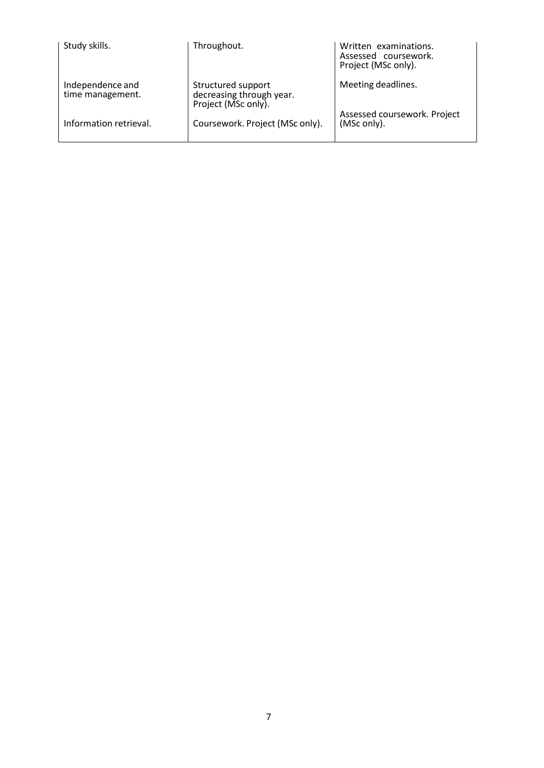| Study skills.                        | Throughout.                                                           | Written examinations.<br>Assessed coursework.<br>Project (MSc only). |
|--------------------------------------|-----------------------------------------------------------------------|----------------------------------------------------------------------|
| Independence and<br>time management. | Structured support<br>decreasing through year.<br>Project (MSc only). | Meeting deadlines.                                                   |
| Information retrieval.               | Coursework. Project (MSc only).                                       | Assessed coursework. Project<br>(MSc only).                          |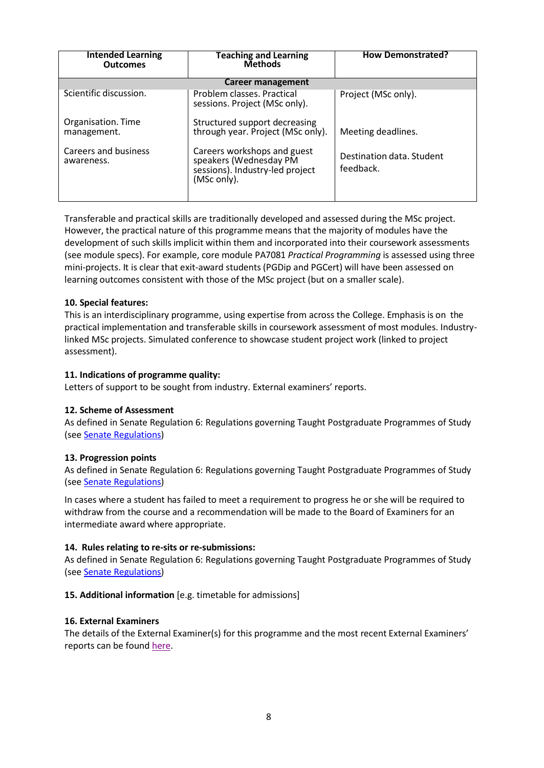| <b>Intended Learning</b><br><b>Outcomes</b> | <b>Teaching and Learning</b><br><b>Methods</b>                                                          | <b>How Demonstrated?</b>               |  |
|---------------------------------------------|---------------------------------------------------------------------------------------------------------|----------------------------------------|--|
| <b>Career management</b>                    |                                                                                                         |                                        |  |
| Scientific discussion.                      | Problem classes. Practical<br>sessions. Project (MSc only).                                             | Project (MSc only).                    |  |
| Organisation. Time<br>management.           | Structured support decreasing<br>through year. Project (MSc only).                                      | Meeting deadlines.                     |  |
| Careers and business<br>awareness.          | Careers workshops and guest<br>speakers (Wednesday PM<br>sessions). Industry-led project<br>(MSc only). | Destination data. Student<br>feedback. |  |

Transferable and practical skills are traditionally developed and assessed during the MSc project. However, the practical nature of this programme means that the majority of modules have the development of such skills implicit within them and incorporated into their coursework assessments (see module specs). For example, core module PA7081 *Practical Programming* is assessed using three mini-projects. It is clear that exit-award students (PGDip and PGCert) will have been assessed on learning outcomes consistent with those of the MSc project (but on a smaller scale).

## **10. Special features:**

This is an interdisciplinary programme, using expertise from across the College. Emphasis is on the practical implementation and transferable skills in coursework assessment of most modules. Industrylinked MSc projects. Simulated conference to showcase student project work (linked to project assessment).

## **11. Indications of programme quality:**

Letters of support to be sought from industry. External examiners' reports.

## **12. Scheme of Assessment**

As defined in Senate Regulation 6: Regulations governing Taught Postgraduate Programmes of Study (see Senate [Regulations\)](http://www2.le.ac.uk/offices/sas2/regulations/general-regulations-for-taught-programmes)

## **13. Progression points**

As defined in Senate Regulation 6: Regulations governing Taught Postgraduate Programmes of Study (see Senate [Regulations\)](http://www2.le.ac.uk/offices/sas2/regulations/general-regulations-for-taught-programmes)

In cases where a student has failed to meet a requirement to progress he or she will be required to withdraw from the course and a recommendation will be made to the Board of Examiners for an intermediate award where appropriate.

## **14. Rules relating to re-sits or re-submissions:**

As defined in Senate Regulation 6: Regulations governing Taught Postgraduate Programmes of Study (see Senate [Regulations\)](http://www2.le.ac.uk/offices/sas2/regulations/general-regulations-for-taught-programmes)

## **15. Additional information** [e.g. timetable for admissions]

## **16. External Examiners**

The details of the External Examiner(s) for this programme and the most recent External Examiners' reports can be found [here.](https://exampapers.le.ac.uk/xmlui/handle/123456789/169)